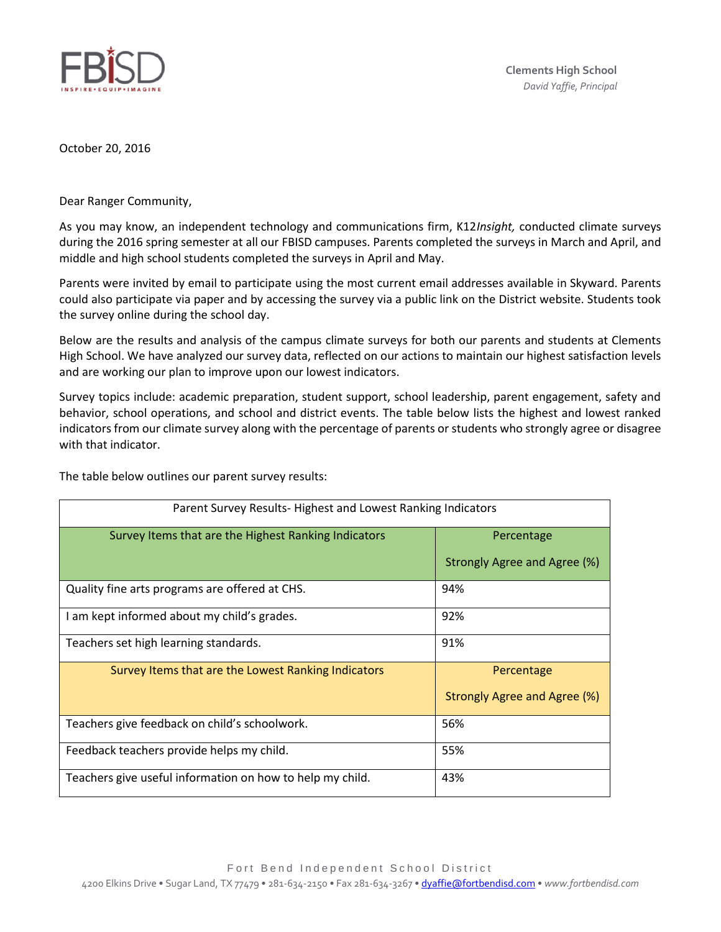

October 20, 2016

Dear Ranger Community,

As you may know, an independent technology and communications firm, K12*Insight,* conducted climate surveys during the 2016 spring semester at all our FBISD campuses. Parents completed the surveys in March and April, and middle and high school students completed the surveys in April and May.

Parents were invited by email to participate using the most current email addresses available in Skyward. Parents could also participate via paper and by accessing the survey via a public link on the District website. Students took the survey online during the school day.

Below are the results and analysis of the campus climate surveys for both our parents and students at Clements High School. We have analyzed our survey data, reflected on our actions to maintain our highest satisfaction levels and are working our plan to improve upon our lowest indicators.

Survey topics include: academic preparation, student support, school leadership, parent engagement, safety and behavior, school operations, and school and district events. The table below lists the highest and lowest ranked indicators from our climate survey along with the percentage of parents or students who strongly agree or disagree with that indicator.

| Parent Survey Results-Highest and Lowest Ranking Indicators |                              |
|-------------------------------------------------------------|------------------------------|
| Survey Items that are the Highest Ranking Indicators        | Percentage                   |
|                                                             | Strongly Agree and Agree (%) |
| Quality fine arts programs are offered at CHS.              | 94%                          |
| I am kept informed about my child's grades.                 | 92%                          |
| Teachers set high learning standards.                       | 91%                          |
| Survey Items that are the Lowest Ranking Indicators         | Percentage                   |
|                                                             | Strongly Agree and Agree (%) |
| Teachers give feedback on child's schoolwork.               | 56%                          |
| Feedback teachers provide helps my child.                   | 55%                          |
| Teachers give useful information on how to help my child.   | 43%                          |

The table below outlines our parent survey results: